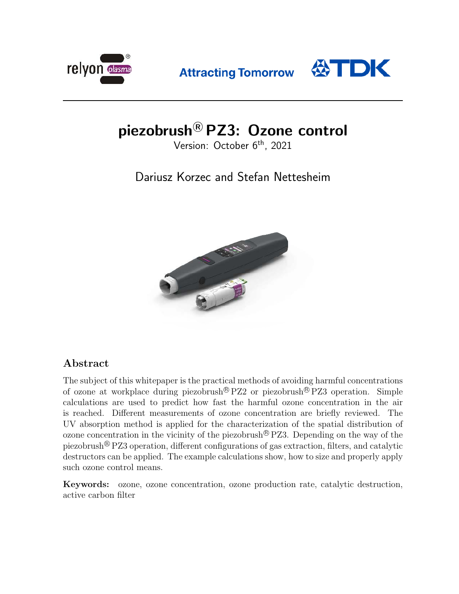

**Attracting Tomorrow** 



# piezobrush<sup>®</sup> PZ3: Ozone control

Version: October 6<sup>th</sup>, 2021

## Dariusz Korzec and Stefan Nettesheim



## Abstract

The subject of this whitepaper is the practical methods of avoiding harmful concentrations of ozone at workplace during piezobrush<sup>®</sup>  $PZ2$  or piezobrush<sup>®</sup>  $PZ3$  operation. Simple calculations are used to predict how fast the harmful ozone concentration in the air is reached. Different measurements of ozone concentration are briefly reviewed. The UV absorption method is applied for the characterization of the spatial distribution of ozone concentration in the vicinity of the piezobrush<sup>®</sup> PZ3. Depending on the way of the piezobrush <sup>R</sup> PZ3 operation, different configurations of gas extraction, filters, and catalytic destructors can be applied. The example calculations show, how to size and properly apply such ozone control means.

Keywords: ozone, ozone concentration, ozone production rate, catalytic destruction, active carbon filter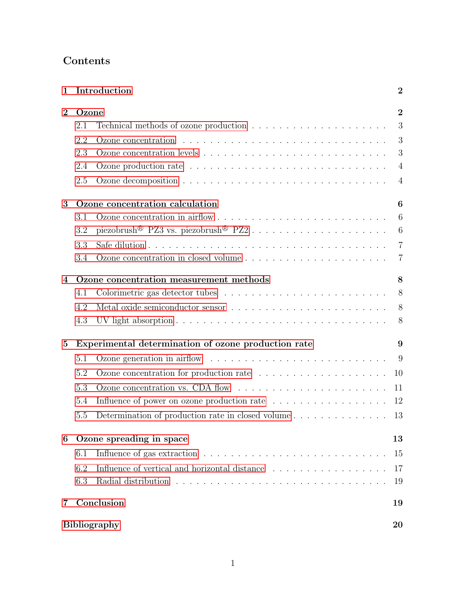## Contents

| 1                         |                                                     | Introduction                                                                                | $\boldsymbol{2}$ |  |  |
|---------------------------|-----------------------------------------------------|---------------------------------------------------------------------------------------------|------------------|--|--|
| $\overline{2}$            | Ozone                                               |                                                                                             |                  |  |  |
|                           | 2.1                                                 | Technical methods of ozone production $\ldots \ldots \ldots \ldots \ldots \ldots \ldots$    | 3                |  |  |
|                           | 2.2                                                 | Ozone concentration $\ldots \ldots \ldots \ldots \ldots \ldots \ldots \ldots \ldots \ldots$ | 3                |  |  |
|                           | 2.3                                                 |                                                                                             | 3                |  |  |
|                           | 2.4                                                 |                                                                                             | $\overline{4}$   |  |  |
|                           | 2.5                                                 |                                                                                             | $\overline{4}$   |  |  |
| 3                         | Ozone concentration calculation<br>6                |                                                                                             |                  |  |  |
|                           | 3.1                                                 |                                                                                             | $6\phantom{.}6$  |  |  |
|                           | 3.2                                                 |                                                                                             | 6                |  |  |
|                           | 3.3                                                 |                                                                                             | $\overline{7}$   |  |  |
|                           | 3.4                                                 |                                                                                             | $\overline{7}$   |  |  |
| $\boldsymbol{4}$          | Ozone concentration measurement methods             |                                                                                             |                  |  |  |
|                           | 4.1                                                 |                                                                                             | 8                |  |  |
|                           | 4.2                                                 |                                                                                             | 8                |  |  |
|                           | 4.3                                                 |                                                                                             | 8                |  |  |
| $\bf{5}$                  | Experimental determination of ozone production rate |                                                                                             |                  |  |  |
|                           | 5.1                                                 |                                                                                             | 9                |  |  |
|                           | 5.2                                                 |                                                                                             | 10               |  |  |
|                           | 5.3                                                 | Ozone concentration vs. CDA flow $\dots \dots \dots \dots \dots \dots \dots \dots \dots$    | 11               |  |  |
|                           | 5.4                                                 |                                                                                             | 12               |  |  |
|                           | 5.5                                                 |                                                                                             | 13               |  |  |
| 6                         | Ozone spreading in space<br>13                      |                                                                                             |                  |  |  |
|                           | 6.1                                                 |                                                                                             | 15               |  |  |
|                           | 6.2                                                 | Influence of vertical and horizontal distance                                               | 17               |  |  |
|                           | 6.3                                                 |                                                                                             | 19               |  |  |
| 7                         |                                                     | Conclusion                                                                                  | 19               |  |  |
| <b>Bibliography</b><br>20 |                                                     |                                                                                             |                  |  |  |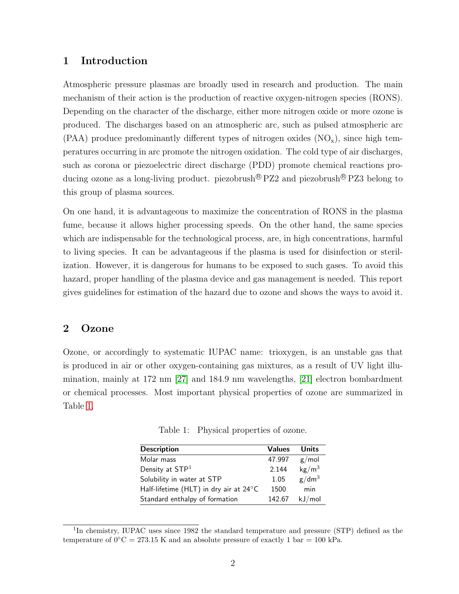## <span id="page-2-0"></span>1 Introduction

Atmospheric pressure plasmas are broadly used in research and production. The main mechanism of their action is the production of reactive oxygen-nitrogen species (RONS). Depending on the character of the discharge, either more nitrogen oxide or more ozone is produced. The discharges based on an atmospheric arc, such as pulsed atmospheric arc  $(PAA)$  produce predominantly different types of nitrogen oxides  $(NO_x)$ , since high temperatures occurring in arc promote the nitrogen oxidation. The cold type of air discharges, such as corona or piezoelectric direct discharge (PDD) promote chemical reactions producing ozone as a long-living product. piezobrush<sup>®</sup>  $PZ2$  and piezobrush<sup>®</sup>  $PZ3$  belong to this group of plasma sources.

On one hand, it is advantageous to maximize the concentration of RONS in the plasma fume, because it allows higher processing speeds. On the other hand, the same species which are indispensable for the technological process, are, in high concentrations, harmful to living species. It can be advantageous if the plasma is used for disinfection or sterilization. However, it is dangerous for humans to be exposed to such gases. To avoid this hazard, proper handling of the plasma device and gas management is needed. This report gives guidelines for estimation of the hazard due to ozone and shows the ways to avoid it.

## <span id="page-2-1"></span>2 Ozone

Ozone, or accordingly to systematic IUPAC name: trioxygen, is an unstable gas that is produced in air or other oxygen-containing gas mixtures, as a result of UV light illumination, mainly at 172 nm [\[27\]](#page-22-0) and 184.9 nm wavelengths, [\[21\]](#page-21-0) electron bombardment or chemical processes. Most important physical properties of ozone are summarized in Table [1.](#page-2-2)

<span id="page-2-2"></span>Table 1: Physical properties of ozone.

| <b>Description</b>                     | <b>Values</b> | Units                  |
|----------------------------------------|---------------|------------------------|
| Molar mass                             | 47.997        | g/mol                  |
| Density at STP <sup>1</sup>            | 2.144         | $\text{kg}/\text{m}^3$ |
| Solubility in water at STP             | 1.05          | g/dm <sup>3</sup>      |
| Half-lifetime (HLT) in dry air at 24°C | 1500          | min                    |
| Standard enthalpy of formation         | 142.67        | kJ/mol                 |

<sup>&</sup>lt;sup>1</sup>In chemistry, IUPAC uses since 1982 the standard temperature and pressure (STP) defined as the temperature of  $0\degree C = 273.15$  K and an absolute pressure of exactly 1 bar = 100 kPa.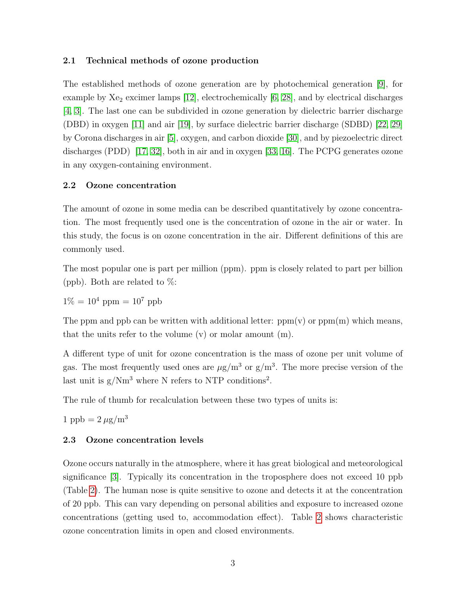#### <span id="page-3-0"></span>2.1 Technical methods of ozone production

The established methods of ozone generation are by photochemical generation [\[9\]](#page-20-0), for example by  $X_{e_2}$  excimer lamps [\[12\]](#page-20-1), electrochemically [\[6,](#page-20-2) [28\]](#page-22-1), and by electrical discharges [\[4,](#page-20-3) [3\]](#page-20-4). The last one can be subdivided in ozone generation by dielectric barrier discharge (DBD) in oxygen [\[11\]](#page-20-5) and air [\[19\]](#page-21-1), by surface dielectric barrier discharge (SDBD) [\[22,](#page-21-2) [29\]](#page-22-2) by Corona discharges in air [\[5\]](#page-20-6), oxygen, and carbon dioxide [\[30\]](#page-22-3), and by piezoelectric direct discharges (PDD) [\[17,](#page-21-3) [32\]](#page-22-4), both in air and in oxygen [\[33,](#page-22-5) [16\]](#page-21-4). The PCPG generates ozone in any oxygen-containing environment.

#### <span id="page-3-1"></span>2.2 Ozone concentration

The amount of ozone in some media can be described quantitatively by ozone concentration. The most frequently used one is the concentration of ozone in the air or water. In this study, the focus is on ozone concentration in the air. Different definitions of this are commonly used.

The most popular one is part per million (ppm). ppm is closely related to part per billion (ppb). Both are related to  $\%$ :

 $1\% = 10^4$  ppm =  $10^7$  ppb

The ppm and ppb can be written with additional letter:  $ppm(v)$  or  $ppm(m)$  which means, that the units refer to the volume  $(v)$  or molar amount  $(m)$ .

A different type of unit for ozone concentration is the mass of ozone per unit volume of gas. The most frequently used ones are  $\mu$ g/m<sup>3</sup> or g/m<sup>3</sup>. The more precise version of the last unit is  $g/Nm^3$  where N refers to NTP conditions<sup>2</sup>.

The rule of thumb for recalculation between these two types of units is:

1 ppb =  $2 \mu g/m^3$ 

#### <span id="page-3-2"></span>2.3 Ozone concentration levels

Ozone occurs naturally in the atmosphere, where it has great biological and meteorological significance [\[3\]](#page-20-4). Typically its concentration in the troposphere does not exceed 10 ppb (Table [2\)](#page-4-2). The human nose is quite sensitive to ozone and detects it at the concentration of 20 ppb. This can vary depending on personal abilities and exposure to increased ozone concentrations (getting used to, accommodation effect). Table [2](#page-4-2) shows characteristic ozone concentration limits in open and closed environments.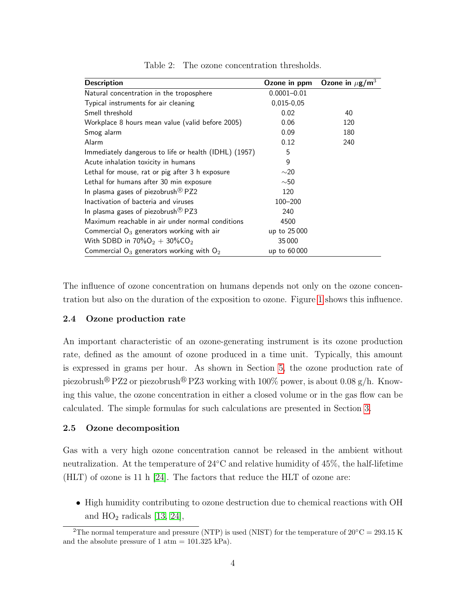| <b>Description</b>                                    | Ozone in ppm    | Ozone in $\mu$ g/m <sup>3</sup> |
|-------------------------------------------------------|-----------------|---------------------------------|
| Natural concentration in the troposphere              | $0.0001 - 0.01$ |                                 |
| Typical instruments for air cleaning                  | 0,015-0,05      |                                 |
| Smell threshold                                       | 0.02            | 40                              |
| Workplace 8 hours mean value (valid before 2005)      | 0.06            | 120                             |
| Smog alarm                                            | 0.09            | 180                             |
| Alarm                                                 | 0.12            | 240                             |
| Immediately dangerous to life or health (IDHL) (1957) | 5               |                                 |
| Acute inhalation toxicity in humans                   | 9               |                                 |
| Lethal for mouse, rat or pig after 3 h exposure       | $\sim$ 20       |                                 |
| Lethal for humans after 30 min exposure               | $\sim$ 50       |                                 |
| In plasma gases of piezobrush $\mathcal{B}$ PZ2       | 120             |                                 |
| Inactivation of bacteria and viruses                  | 100-200         |                                 |
| In plasma gases of piezobrush $\mathcal{B}$ PZ3       | 240             |                                 |
| Maximum reachable in air under normal conditions      | 4500            |                                 |
| Commercial $O_3$ generators working with air          | up to 25 000    |                                 |
| With SDBD in $70\%O_2 + 30\%CO_2$                     | 35 000          |                                 |
| Commercial $O_3$ generators working with $O_2$        | up to 60 000    |                                 |

<span id="page-4-2"></span>Table 2: The ozone concentration thresholds.

The influence of ozone concentration on humans depends not only on the ozone concentration but also on the duration of the exposition to ozone. Figure [1](#page-5-0) shows this influence.

#### <span id="page-4-0"></span>2.4 Ozone production rate

An important characteristic of an ozone-generating instrument is its ozone production rate, defined as the amount of ozone produced in a time unit. Typically, this amount is expressed in grams per hour. As shown in Section [5,](#page-9-0) the ozone production rate of piezobrush<sup>®</sup> PZ2 or piezobrush<sup>®</sup> PZ3 working with 100% power, is about 0.08 g/h. Knowing this value, the ozone concentration in either a closed volume or in the gas flow can be calculated. The simple formulas for such calculations are presented in Section [3.](#page-6-0)

#### <span id="page-4-1"></span>2.5 Ozone decomposition

Gas with a very high ozone concentration cannot be released in the ambient without neutralization. At the temperature of  $24\degree C$  and relative humidity of  $45\%$ , the half-lifetime (HLT) of ozone is 11 h [\[24\]](#page-21-5). The factors that reduce the HLT of ozone are:

• High humidity contributing to ozone destruction due to chemical reactions with OH and  $HO_2$  radicals [\[13,](#page-20-7) [24\]](#page-21-5),

<sup>&</sup>lt;sup>2</sup>The normal temperature and pressure (NTP) is used (NIST) for the temperature of  $20^{\circ}$ C = 293.15 K and the absolute pressure of 1 atm  $= 101.325$  kPa).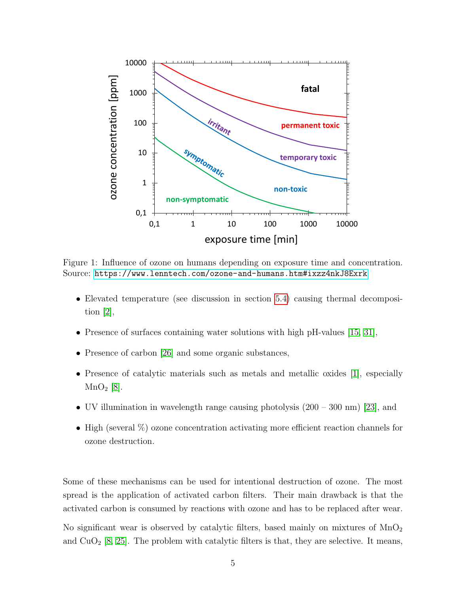

<span id="page-5-0"></span>Figure 1: Influence of ozone on humans depending on exposure time and concentration. Source: <https://www.lenntech.com/ozone-and-humans.htm#ixzz4nkJ8Exrk>

- Elevated temperature (see discussion in section [5.4\)](#page-12-0) causing thermal decomposition [\[2\]](#page-20-8),
- Presence of surfaces containing water solutions with high pH-values [\[15,](#page-21-6) [31\]](#page-22-6),
- Presence of carbon [\[26\]](#page-22-7) and some organic substances,
- Presence of catalytic materials such as metals and metallic oxides [\[1\]](#page-20-9), especially  $MnO<sub>2</sub>$  [\[8\]](#page-20-10).
- UV illumination in wavelength range causing photolysis  $(200 300 \text{ nm})$  [\[23\]](#page-21-7), and
- High (several  $\%$ ) ozone concentration activating more efficient reaction channels for ozone destruction.

Some of these mechanisms can be used for intentional destruction of ozone. The most spread is the application of activated carbon filters. Their main drawback is that the activated carbon is consumed by reactions with ozone and has to be replaced after wear.

No significant wear is observed by catalytic filters, based mainly on mixtures of  $\text{MnO}_2$ and  $CuO<sub>2</sub>$  [\[8,](#page-20-10) [25\]](#page-22-8). The problem with catalytic filters is that, they are selective. It means,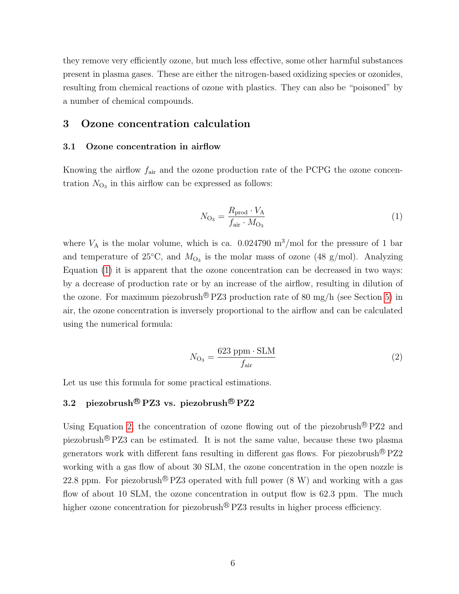they remove very efficiently ozone, but much less effective, some other harmful substances present in plasma gases. These are either the nitrogen-based oxidizing species or ozonides, resulting from chemical reactions of ozone with plastics. They can also be "poisoned" by a number of chemical compounds.

### <span id="page-6-0"></span>3 Ozone concentration calculation

#### <span id="page-6-1"></span>3.1 Ozone concentration in airflow

Knowing the airflow  $f_{\text{air}}$  and the ozone production rate of the PCPG the ozone concentration  $N_{\text{O}_3}$  in this airflow can be expressed as follows:

<span id="page-6-3"></span>
$$
N_{\text{O}_3} = \frac{R_{\text{prod}} \cdot V_A}{f_{\text{air}} \cdot M_{\text{O}_3}}
$$
\n
$$
\tag{1}
$$

where  $V_A$  is the molar volume, which is ca. 0.024790 m<sup>3</sup>/mol for the pressure of 1 bar and temperature of 25°C, and  $M_{\text{O}_3}$  is the molar mass of ozone (48 g/mol). Analyzing Equation [\(1\)](#page-6-3) it is apparent that the ozone concentration can be decreased in two ways: by a decrease of production rate or by an increase of the airflow, resulting in dilution of the ozone. For maximum piezobrush<sup>®</sup> PZ3 production rate of 80 mg/h (see Section [5\)](#page-9-0) in air, the ozone concentration is inversely proportional to the airflow and can be calculated using the numerical formula:

<span id="page-6-4"></span>
$$
N_{\text{O}_3} = \frac{623 \text{ ppm} \cdot \text{SLM}}{f_{\text{air}}} \tag{2}
$$

Let us use this formula for some practical estimations.

## <span id="page-6-2"></span>3.2 piezobrush<sup>®</sup> PZ3 vs. piezobrush<sup>®</sup> PZ2

Using Equation [2,](#page-6-4) the concentration of ozone flowing out of the piezobrush  $\mathbb{B} PZ2$  and piezobrush <sup>R</sup> PZ3 can be estimated. It is not the same value, because these two plasma generators work with different fans resulting in different gas flows. For piezobrush<sup>®</sup>  $PZ2$ working with a gas flow of about 30 SLM, the ozone concentration in the open nozzle is 22.8 ppm. For piezobrush<sup>®</sup> PZ3 operated with full power  $(8 \text{ W})$  and working with a gas flow of about 10 SLM, the ozone concentration in output flow is 62.3 ppm. The much higher ozone concentration for piezobrush<sup>®</sup>  $PZ3$  results in higher process efficiency.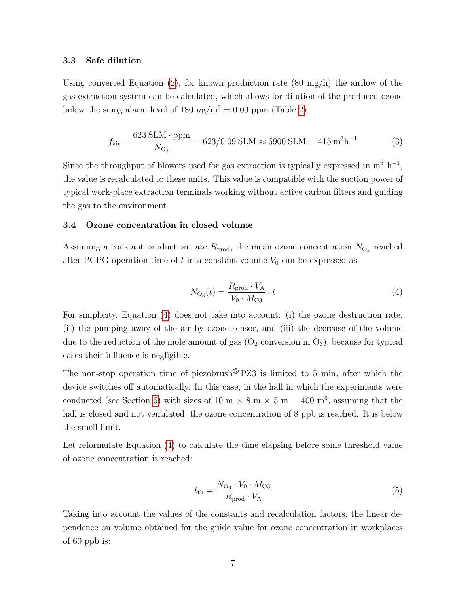#### <span id="page-7-0"></span>3.3 Safe dilution

Using converted Equation  $(2)$ , for known production rate  $(80 \text{ mg/h})$  the airflow of the gas extraction system can be calculated, which allows for dilution of the produced ozone below the smog alarm level of 180  $\mu$ g/m<sup>3</sup> = 0.09 ppm (Table [2\)](#page-4-2).

$$
f_{\text{air}} = \frac{623 \text{ SIM} \cdot \text{ppm}}{N_{\text{O}_3}} = 623/0.09 \text{ SIM} \approx 6900 \text{ SIM} = 415 \text{ m}^3 \text{h}^{-1}
$$
 (3)

Since the throughput of blowers used for gas extraction is typically expressed in  $m^3 h^{-1}$ , the value is recalculated to these units. This value is compatible with the suction power of typical work-place extraction terminals working without active carbon filters and guiding the gas to the environment.

#### <span id="page-7-1"></span>3.4 Ozone concentration in closed volume

Assuming a constant production rate  $R_{\text{prod}}$ , the mean ozone concentration  $N_{\text{O}_3}$  reached after PCPG operation time of t in a constant volume  $V_0$  can be expressed as:

<span id="page-7-2"></span>
$$
N_{\text{O}_3}(t) = \frac{R_{\text{prod}} \cdot V_{\text{A}}}{V_0 \cdot M_{\text{O}_3}} \cdot t \tag{4}
$$

For simplicity, Equation [\(4\)](#page-7-2) does not take into account: (i) the ozone destruction rate, (ii) the pumping away of the air by ozone sensor, and (iii) the decrease of the volume due to the reduction of the mole amount of gas  $(O_2)$  conversion in  $O_3$ ), because for typical cases their influence is negligible.

The non-stop operation time of piezobrush<sup>®</sup>  $PZ3$  is limited to 5 min, after which the device switches off automatically. In this case, in the hall in which the experiments were conducted (see Section [6\)](#page-13-1) with sizes of 10 m  $\times$  8 m  $\times$  5 m = 400 m<sup>3</sup>, assuming that the hall is closed and not ventilated, the ozone concentration of 8 ppb is reached. It is below the smell limit.

Let reformulate Equation [\(4\)](#page-7-2) to calculate the time elapsing before some threshold value of ozone concentration is reached:

$$
t_{\rm th} = \frac{N_{\rm O_3} \cdot V_0 \cdot M_{\rm O3}}{R_{\rm prod} \cdot V_{\rm A}}\tag{5}
$$

Taking into account the values of the constants and recalculation factors, the linear dependence on volume obtained for the guide value for ozone concentration in workplaces of 60 ppb is: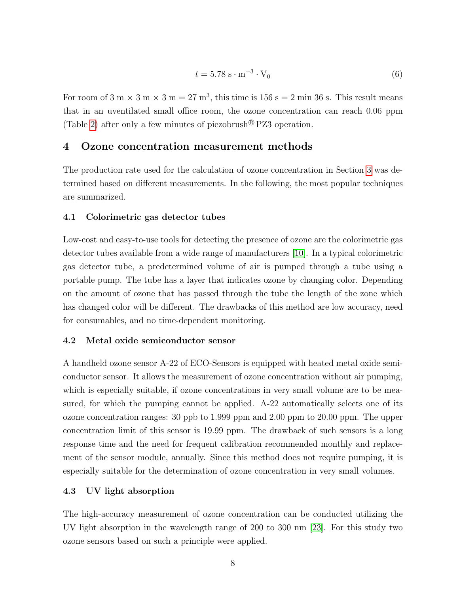$$
t = 5.78 \, \text{s} \cdot \text{m}^{-3} \cdot \text{V}_0 \tag{6}
$$

For room of 3 m  $\times$  3 m  $\times$  3 m = 27 m<sup>3</sup>, this time is 156 s = 2 min 36 s. This result means that in an uventilated small office room, the ozone concentration can reach 0.06 ppm (Table [2\)](#page-4-2) after only a few minutes of piezobrush  $\mathbb{R}$  PZ3 operation.

## <span id="page-8-0"></span>4 Ozone concentration measurement methods

The production rate used for the calculation of ozone concentration in Section [3](#page-6-0) was determined based on different measurements. In the following, the most popular techniques are summarized.

#### <span id="page-8-1"></span>4.1 Colorimetric gas detector tubes

Low-cost and easy-to-use tools for detecting the presence of ozone are the colorimetric gas detector tubes available from a wide range of manufacturers [\[10\]](#page-20-11). In a typical colorimetric gas detector tube, a predetermined volume of air is pumped through a tube using a portable pump. The tube has a layer that indicates ozone by changing color. Depending on the amount of ozone that has passed through the tube the length of the zone which has changed color will be different. The drawbacks of this method are low accuracy, need for consumables, and no time-dependent monitoring.

#### <span id="page-8-2"></span>4.2 Metal oxide semiconductor sensor

A handheld ozone sensor A-22 of ECO-Sensors is equipped with heated metal oxide semiconductor sensor. It allows the measurement of ozone concentration without air pumping, which is especially suitable, if ozone concentrations in very small volume are to be measured, for which the pumping cannot be applied. A-22 automatically selects one of its ozone concentration ranges: 30 ppb to 1.999 ppm and 2.00 ppm to 20.00 ppm. The upper concentration limit of this sensor is 19.99 ppm. The drawback of such sensors is a long response time and the need for frequent calibration recommended monthly and replacement of the sensor module, annually. Since this method does not require pumping, it is especially suitable for the determination of ozone concentration in very small volumes.

#### <span id="page-8-3"></span>4.3 UV light absorption

The high-accuracy measurement of ozone concentration can be conducted utilizing the UV light absorption in the wavelength range of 200 to 300 nm [\[23\]](#page-21-7). For this study two ozone sensors based on such a principle were applied.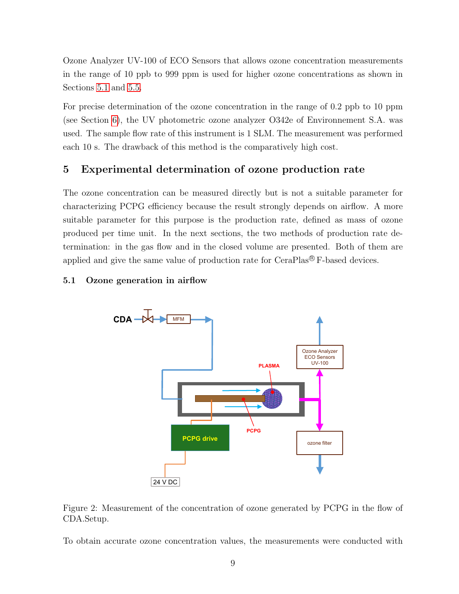Ozone Analyzer UV-100 of ECO Sensors that allows ozone concentration measurements in the range of 10 ppb to 999 ppm is used for higher ozone concentrations as shown in Sections [5.1](#page-9-1) and [5.5.](#page-13-0)

For precise determination of the ozone concentration in the range of 0.2 ppb to 10 ppm (see Section [6\)](#page-13-1), the UV photometric ozone analyzer O342e of Environnement S.A. was used. The sample flow rate of this instrument is 1 SLM. The measurement was performed each 10 s. The drawback of this method is the comparatively high cost.

## <span id="page-9-0"></span>5 Experimental determination of ozone production rate

The ozone concentration can be measured directly but is not a suitable parameter for characterizing PCPG efficiency because the result strongly depends on airflow. A more suitable parameter for this purpose is the production rate, defined as mass of ozone produced per time unit. In the next sections, the two methods of production rate determination: in the gas flow and in the closed volume are presented. Both of them are applied and give the same value of production rate for CeraPlas<sup>®</sup> F-based devices.

## <span id="page-9-1"></span>5.1 Ozone generation in airflow



<span id="page-9-2"></span>Figure 2: Measurement of the concentration of ozone generated by PCPG in the flow of CDA.Setup.

To obtain accurate ozone concentration values, the measurements were conducted with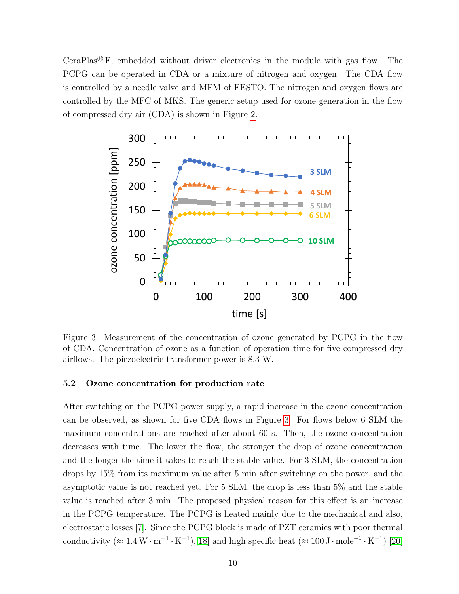CeraPlas<sup>®</sup> F, embedded without driver electronics in the module with gas flow. The PCPG can be operated in CDA or a mixture of nitrogen and oxygen. The CDA flow is controlled by a needle valve and MFM of FESTO. The nitrogen and oxygen flows are controlled by the MFC of MKS. The generic setup used for ozone generation in the flow of compressed dry air (CDA) is shown in Figure [2.](#page-9-2)



<span id="page-10-1"></span>Figure 3: Measurement of the concentration of ozone generated by PCPG in the flow of CDA. Concentration of ozone as a function of operation time for five compressed dry airflows. The piezoelectric transformer power is 8.3 W.

#### <span id="page-10-0"></span>5.2 Ozone concentration for production rate

After switching on the PCPG power supply, a rapid increase in the ozone concentration can be observed, as shown for five CDA flows in Figure [3.](#page-10-1) For flows below 6 SLM the maximum concentrations are reached after about 60 s. Then, the ozone concentration decreases with time. The lower the flow, the stronger the drop of ozone concentration and the longer the time it takes to reach the stable value. For 3 SLM, the concentration drops by 15% from its maximum value after 5 min after switching on the power, and the asymptotic value is not reached yet. For 5 SLM, the drop is less than 5% and the stable value is reached after 3 min. The proposed physical reason for this effect is an increase in the PCPG temperature. The PCPG is heated mainly due to the mechanical and also, electrostatic losses [\[7\]](#page-20-12). Since the PCPG block is made of PZT ceramics with poor thermal conductivity  $(\approx 1.4 \,\mathrm{W \cdot m^{-1} \cdot K^{-1}})$ ,[\[18\]](#page-21-8) and high specific heat  $(\approx 100 \,\mathrm{J \cdot mole^{-1} \cdot K^{-1}})$  [\[20\]](#page-21-9)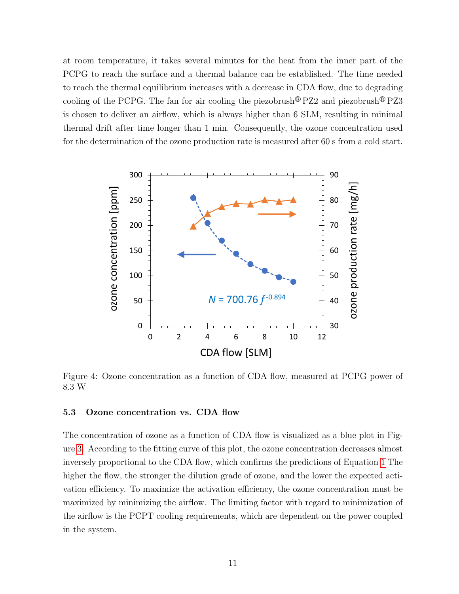at room temperature, it takes several minutes for the heat from the inner part of the PCPG to reach the surface and a thermal balance can be established. The time needed to reach the thermal equilibrium increases with a decrease in CDA flow, due to degrading cooling of the PCPG. The fan for air cooling the piezobrush  $\mathbb{R}$  PZ2 and piezobrush  $\mathbb{R}$  PZ3 is chosen to deliver an airflow, which is always higher than 6 SLM, resulting in minimal thermal drift after time longer than 1 min. Consequently, the ozone concentration used for the determination of the ozone production rate is measured after 60 s from a cold start.



<span id="page-11-1"></span>Figure 4: Ozone concentration as a function of CDA flow, measured at PCPG power of 8.3 W

#### <span id="page-11-0"></span>5.3 Ozone concentration vs. CDA flow

The concentration of ozone as a function of CDA flow is visualized as a blue plot in Figure [3.](#page-10-1) According to the fitting curve of this plot, the ozone concentration decreases almost inversely proportional to the CDA flow, which confirms the predictions of Equation [1](#page-6-3) The higher the flow, the stronger the dilution grade of ozone, and the lower the expected activation efficiency. To maximize the activation efficiency, the ozone concentration must be maximized by minimizing the airflow. The limiting factor with regard to minimization of the airflow is the PCPT cooling requirements, which are dependent on the power coupled in the system.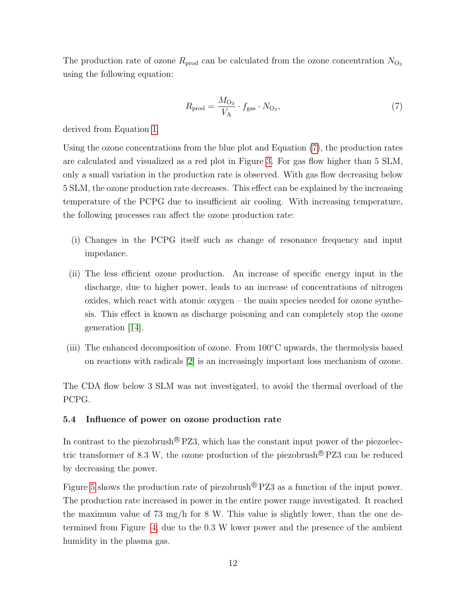The production rate of ozone  $R_{\text{prod}}$  can be calculated from the ozone concentration  $N_{\text{O}_3}$ using the following equation:

<span id="page-12-1"></span>
$$
R_{\rm prod} = \frac{M_{\rm O_3}}{V_{\rm A}} \cdot f_{\rm gas} \cdot N_{\rm O_3},\tag{7}
$$

derived from Equation [1.](#page-6-3)

Using the ozone concentrations from the blue plot and Equation [\(7\)](#page-12-1), the production rates are calculated and visualized as a red plot in Figure [3.](#page-10-1) For gas flow higher than 5 SLM, only a small variation in the production rate is observed. With gas flow decreasing below 5 SLM, the ozone production rate decreases. This effect can be explained by the increasing temperature of the PCPG due to insufficient air cooling. With increasing temperature, the following processes can affect the ozone production rate:

- (i) Changes in the PCPG itself such as change of resonance frequency and input impedance.
- (ii) The less efficient ozone production. An increase of specific energy input in the discharge, due to higher power, leads to an increase of concentrations of nitrogen oxides, which react with atomic oxygen – the main species needed for ozone synthesis. This effect is known as discharge poisoning and can completely stop the ozone generation [\[14\]](#page-21-10).
- (iii) The enhanced decomposition of ozone. From 100◦C upwards, the thermolysis based on reactions with radicals [\[2\]](#page-20-8) is an increasingly important loss mechanism of ozone.

The CDA flow below 3 SLM was not investigated, to avoid the thermal overload of the PCPG.

#### <span id="page-12-0"></span>5.4 Influence of power on ozone production rate

In contrast to the piezobrush  $\mathbb{R}$  PZ3, which has the constant input power of the piezoelectric transformer of 8.3 W, the ozone production of the piezobrush<sup>®</sup> PZ3 can be reduced by decreasing the power.

Figure [5](#page-13-2) shows the production rate of piezobrush<sup>®</sup>  $PZ3$  as a function of the input power. The production rate increased in power in the entire power range investigated. It reached the maximum value of 73 mg/h for 8 W. This value is slightly lower, than the one determined from Figure [4,](#page-11-1) due to the 0.3 W lower power and the presence of the ambient humidity in the plasma gas.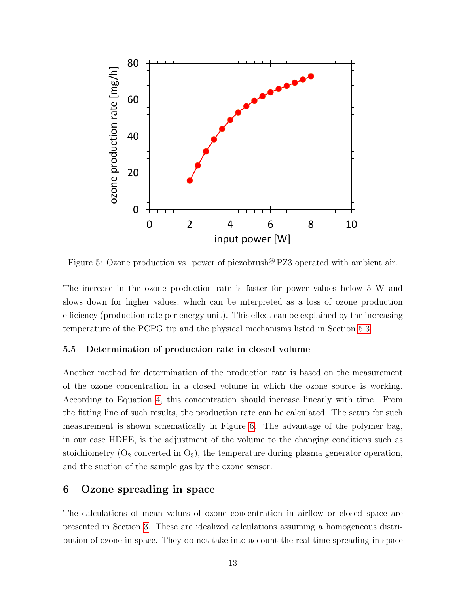

<span id="page-13-2"></span>Figure 5: Ozone production vs. power of piezobrush<sup>®</sup> PZ3 operated with ambient air.

The increase in the ozone production rate is faster for power values below 5 W and slows down for higher values, which can be interpreted as a loss of ozone production efficiency (production rate per energy unit). This effect can be explained by the increasing temperature of the PCPG tip and the physical mechanisms listed in Section [5.3.](#page-11-0)

#### <span id="page-13-0"></span>5.5 Determination of production rate in closed volume

Another method for determination of the production rate is based on the measurement of the ozone concentration in a closed volume in which the ozone source is working. According to Equation [4,](#page-7-2) this concentration should increase linearly with time. From the fitting line of such results, the production rate can be calculated. The setup for such measurement is shown schematically in Figure [6.](#page-14-0) The advantage of the polymer bag, in our case HDPE, is the adjustment of the volume to the changing conditions such as stoichiometry  $(O_2$  converted in  $O_3$ ), the temperature during plasma generator operation, and the suction of the sample gas by the ozone sensor.

## <span id="page-13-1"></span>6 Ozone spreading in space

The calculations of mean values of ozone concentration in airflow or closed space are presented in Section [3.](#page-6-0) These are idealized calculations assuming a homogeneous distribution of ozone in space. They do not take into account the real-time spreading in space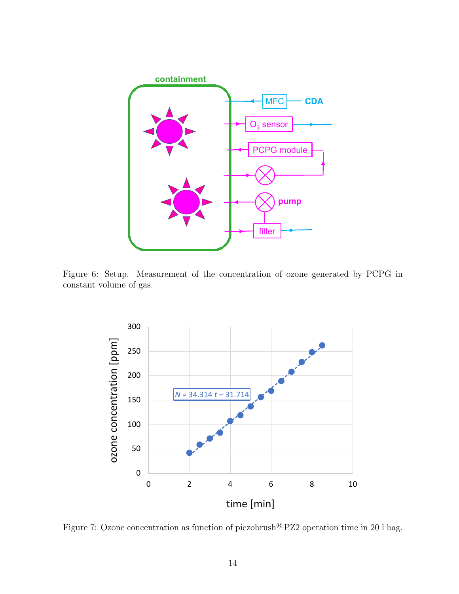

<span id="page-14-0"></span>Figure 6: Setup. Measurement of the concentration of ozone generated by PCPG in constant volume of gas.



Figure 7: Ozone concentration as function of piezobrush<sup>®</sup> PZ2 operation time in 20 l bag.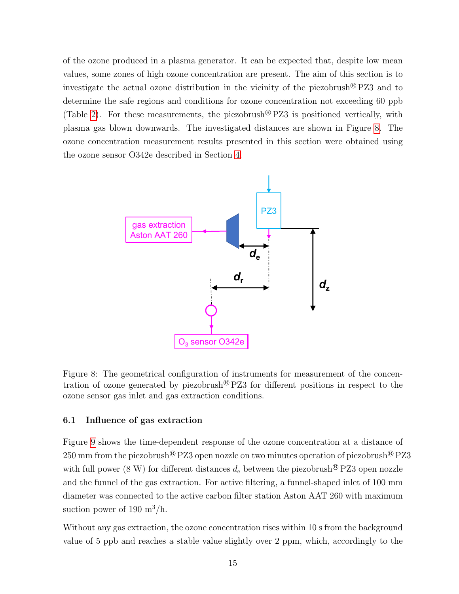of the ozone produced in a plasma generator. It can be expected that, despite low mean values, some zones of high ozone concentration are present. The aim of this section is to investigate the actual ozone distribution in the vicinity of the piezobrush  $\mathbb{R}$  PZ3 and to determine the safe regions and conditions for ozone concentration not exceeding 60 ppb (Table [2\)](#page-4-2). For these measurements, the piezobrush  $\mathbb{R}$  PZ3 is positioned vertically, with plasma gas blown downwards. The investigated distances are shown in Figure [8.](#page-15-1) The ozone concentration measurement results presented in this section were obtained using the ozone sensor O342e described in Section [4.](#page-8-0)



<span id="page-15-1"></span>Figure 8: The geometrical configuration of instruments for measurement of the concentration of ozone generated by piezobrush<sup>®</sup>  $PZ3$  for different positions in respect to the ozone sensor gas inlet and gas extraction conditions.

#### <span id="page-15-0"></span>6.1 Influence of gas extraction

Figure [9](#page-16-0) shows the time-dependent response of the ozone concentration at a distance of 250 mm from the piezobrush<sup>®</sup> PZ3 open nozzle on two minutes operation of piezobrush<sup>®</sup> PZ3 with full power (8 W) for different distances  $d_e$  between the piezobrush<sup>®</sup> PZ3 open nozzle and the funnel of the gas extraction. For active filtering, a funnel-shaped inlet of 100 mm diameter was connected to the active carbon filter station Aston AAT 260 with maximum suction power of 190  $\mathrm{m}^3/\mathrm{h}$ .

Without any gas extraction, the ozone concentration rises within 10 s from the background value of 5 ppb and reaches a stable value slightly over 2 ppm, which, accordingly to the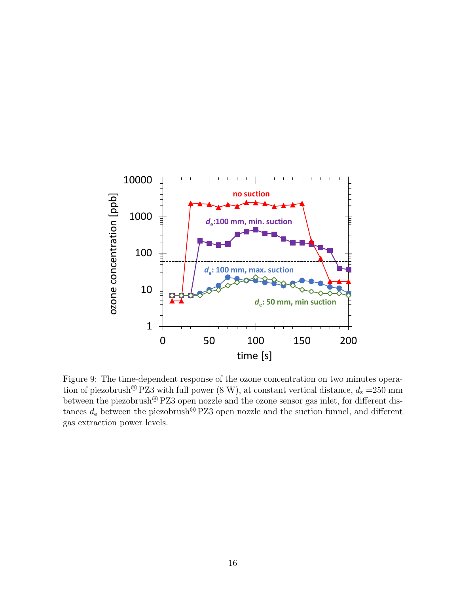

<span id="page-16-0"></span>Figure 9: The time-dependent response of the ozone concentration on two minutes operation of piezobrush<sup>®</sup> PZ3 with full power  $(8 \text{ W})$ , at constant vertical distance,  $d_z = 250 \text{ mm}$ between the piezobrush® PZ3 open nozzle and the ozone sensor gas inlet, for different distances  $d_e$  between the piezobrush<sup>®</sup> PZ3 open nozzle and the suction funnel, and different gas extraction power levels.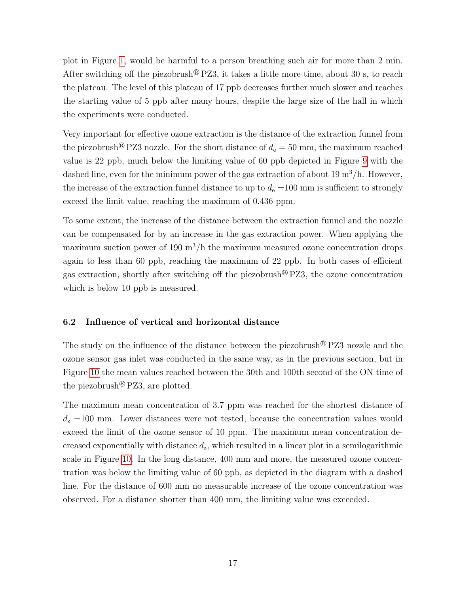plot in Figure [1,](#page-5-0) would be harmful to a person breathing such air for more than 2 min. After switching off the piezobrush<sup>®</sup> PZ3, it takes a little more time, about 30 s, to reach the plateau. The level of this plateau of 17 ppb decreases further much slower and reaches the starting value of 5 ppb after many hours, despite the large size of the hall in which the experiments were conducted.

Very important for effective ozone extraction is the distance of the extraction funnel from the piezobrush<sup>®</sup> PZ3 nozzle. For the short distance of  $d_e = 50$  mm, the maximum reached value is 22 ppb, much below the limiting value of 60 ppb depicted in Figure [9](#page-16-0) with the dashed line, even for the minimum power of the gas extraction of about  $19 \text{ m}^3/\text{h}$ . However, the increase of the extraction funnel distance to up to  $d_e = 100$  mm is sufficient to strongly exceed the limit value, reaching the maximum of 0.436 ppm.

To some extent, the increase of the distance between the extraction funnel and the nozzle can be compensated for by an increase in the gas extraction power. When applying the maximum suction power of 190  $\text{m}^3/\text{h}$  the maximum measured ozone concentration drops again to less than 60 ppb, reaching the maximum of 22 ppb. In both cases of efficient gas extraction, shortly after switching off the piezobrush  $\mathbb{R}$  PZ3, the ozone concentration which is below 10 ppb is measured.

#### <span id="page-17-0"></span>6.2 Influence of vertical and horizontal distance

The study on the influence of the distance between the piezobrush  $\mathbb{R}$  PZ3 nozzle and the ozone sensor gas inlet was conducted in the same way, as in the previous section, but in Figure [10](#page-18-0) the mean values reached between the 30th and 100th second of the ON time of the piezobrush<sup>®</sup> PZ3, are plotted.

The maximum mean concentration of 3.7 ppm was reached for the shortest distance of  $d_{z}$  =100 mm. Lower distances were not tested, because the concentration values would exceed the limit of the ozone sensor of 10 ppm. The maximum mean concentration decreased exponentially with distance  $d_{z}$ , which resulted in a linear plot in a semilogarithmic scale in Figure [10.](#page-18-0) In the long distance, 400 mm and more, the measured ozone concentration was below the limiting value of 60 ppb, as depicted in the diagram with a dashed line. For the distance of 600 mm no measurable increase of the ozone concentration was observed. For a distance shorter than 400 mm, the limiting value was exceeded.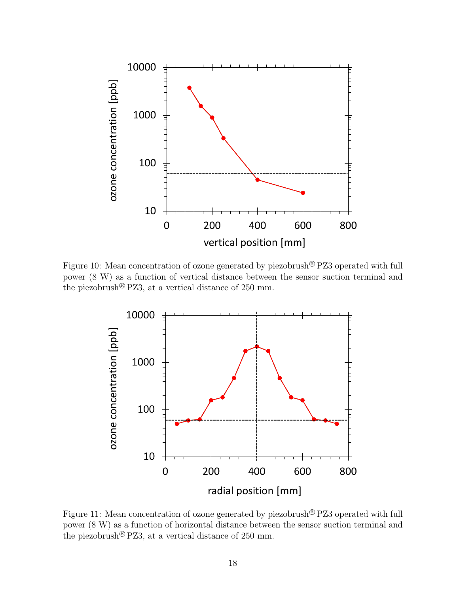

<span id="page-18-0"></span>Figure 10: Mean concentration of ozone generated by piezobrush<sup>®</sup> PZ3 operated with full power (8 W) as a function of vertical distance between the sensor suction terminal and the piezobrush<sup>®</sup> PZ3, at a vertical distance of 250 mm.



<span id="page-18-1"></span>Figure 11: Mean concentration of ozone generated by piezobrush<sup>®</sup> PZ3 operated with full power (8 W) as a function of horizontal distance between the sensor suction terminal and the piezobrush<sup>®</sup> PZ3, at a vertical distance of 250 mm.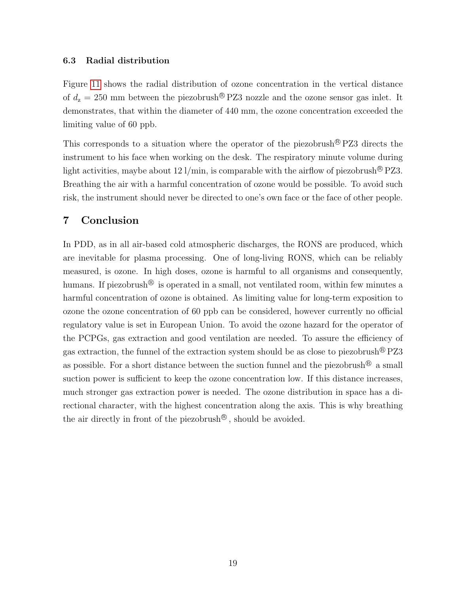#### <span id="page-19-0"></span>6.3 Radial distribution

Figure [11](#page-18-1) shows the radial distribution of ozone concentration in the vertical distance of  $d_z = 250$  mm between the piezobrush®PZ3 nozzle and the ozone sensor gas inlet. It demonstrates, that within the diameter of 440 mm, the ozone concentration exceeded the limiting value of 60 ppb.

This corresponds to a situation where the operator of the piezobrush  $\mathbb{R}$  PZ3 directs the instrument to his face when working on the desk. The respiratory minute volume during light activities, maybe about 12 l/min, is comparable with the airflow of piezobrush  $\mathcal{B}$  PZ3. Breathing the air with a harmful concentration of ozone would be possible. To avoid such risk, the instrument should never be directed to one's own face or the face of other people.

## <span id="page-19-1"></span>7 Conclusion

In PDD, as in all air-based cold atmospheric discharges, the RONS are produced, which are inevitable for plasma processing. One of long-living RONS, which can be reliably measured, is ozone. In high doses, ozone is harmful to all organisms and consequently, humans. If piezobrush<sup>®</sup> is operated in a small, not ventilated room, within few minutes a harmful concentration of ozone is obtained. As limiting value for long-term exposition to ozone the ozone concentration of 60 ppb can be considered, however currently no official regulatory value is set in European Union. To avoid the ozone hazard for the operator of the PCPGs, gas extraction and good ventilation are needed. To assure the efficiency of gas extraction, the funnel of the extraction system should be as close to piezobrush<sup>®</sup> PZ3 as possible. For a short distance between the suction funnel and the piezobrush<sup>®</sup> a small suction power is sufficient to keep the ozone concentration low. If this distance increases, much stronger gas extraction power is needed. The ozone distribution in space has a directional character, with the highest concentration along the axis. This is why breathing the air directly in front of the piezobrush<sup>®</sup>, should be avoided.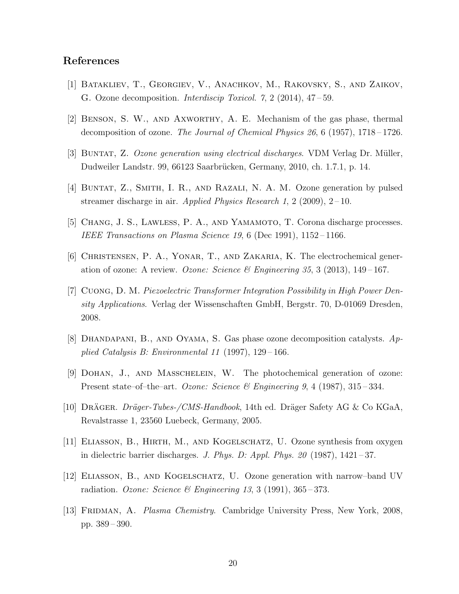## References

- <span id="page-20-9"></span>[1] Batakliev, T., Georgiev, V., Anachkov, M., Rakovsky, S., and Zaikov, G. Ozone decomposition. *Interdiscip Toxicol. 7*, 2 (2014), 47 – 59.
- <span id="page-20-8"></span>[2] Benson, S. W., and Axworthy, A. E. Mechanism of the gas phase, thermal decomposition of ozone. *The Journal of Chemical Physics 26*, 6 (1957), 1718 – 1726.
- <span id="page-20-4"></span>[3] Buntat, Z. *Ozone generation using electrical discharges*. VDM Verlag Dr. M¨uller, Dudweiler Landstr. 99, 66123 Saarbrücken, Germany, 2010, ch. 1.7.1, p. 14.
- <span id="page-20-3"></span>[4] Buntat, Z., Smith, I. R., and Razali, N. A. M. Ozone generation by pulsed streamer discharge in air. *Applied Physics Research 1*, 2 (2009), 2 – 10.
- <span id="page-20-6"></span>[5] CHANG, J. S., LAWLESS, P. A., AND YAMAMOTO, T. Corona discharge processes. *IEEE Transactions on Plasma Science 19*, 6 (Dec 1991), 1152 – 1166.
- <span id="page-20-2"></span>[6] Christensen, P. A., Yonar, T., and Zakaria, K. The electrochemical generation of ozone: A review. *Ozone: Science & Engineering 35*, 3 (2013), 149 – 167.
- <span id="page-20-12"></span>[7] Cuong, D. M. *Piezoelectric Transformer Integration Possibility in High Power Density Applications*. Verlag der Wissenschaften GmbH, Bergstr. 70, D-01069 Dresden, 2008.
- <span id="page-20-10"></span>[8] Dhandapani, B., and Oyama, S. Gas phase ozone decomposition catalysts. *Applied Catalysis B: Environmental 11* (1997), 129 – 166.
- <span id="page-20-0"></span>[9] Dohan, J., and Masschelein, W. The photochemical generation of ozone: Present state–of–the–art. *Ozone: Science & Engineering 9*, 4 (1987), 315 – 334.
- <span id="page-20-11"></span>[10] DRÄGER. *Dräger-Tubes-/CMS-Handbook*, 14th ed. Dräger Safety AG & Co KGaA, Revalstrasse 1, 23560 Luebeck, Germany, 2005.
- <span id="page-20-5"></span>[11] Eliasson, B., Hirth, M., and Kogelschatz, U. Ozone synthesis from oxygen in dielectric barrier discharges. *J. Phys. D: Appl. Phys. 20* (1987), 1421 – 37.
- <span id="page-20-1"></span>[12] Eliasson, B., and Kogelschatz, U. Ozone generation with narrow–band UV radiation. *Ozone: Science & Engineering 13*, 3 (1991), 365 – 373.
- <span id="page-20-7"></span>[13] FRIDMAN, A. *Plasma Chemistry*. Cambridge University Press, New York, 2008, pp. 389 – 390.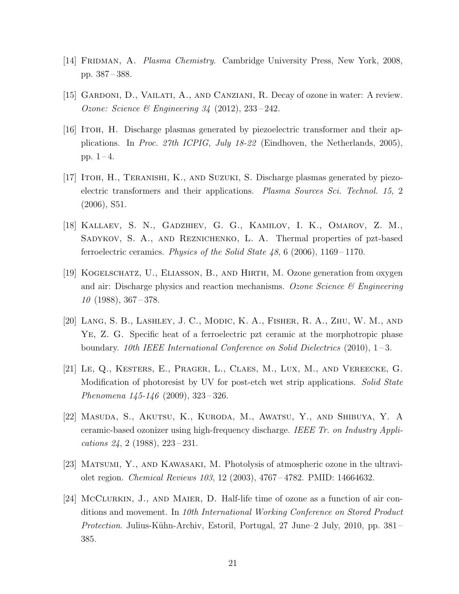- <span id="page-21-10"></span>[14] Fridman, A. *Plasma Chemistry*. Cambridge University Press, New York, 2008, pp. 387 – 388.
- <span id="page-21-6"></span>[15] Gardoni, D., Vailati, A., and Canziani, R. Decay of ozone in water: A review. *Ozone: Science & Engineering 34* (2012), 233 – 242.
- <span id="page-21-4"></span>[16] Itoh, H. Discharge plasmas generated by piezoelectric transformer and their applications. In *Proc. 27th ICPIG, July 18-22* (Eindhoven, the Netherlands, 2005), pp.  $1 - 4$ .
- <span id="page-21-3"></span>[17] Itoh, H., Teranishi, K., and Suzuki, S. Discharge plasmas generated by piezoelectric transformers and their applications. *Plasma Sources Sci. Technol. 15*, 2 (2006), S51.
- <span id="page-21-8"></span>[18] Kallaev, S. N., Gadzhiev, G. G., Kamilov, I. K., Omarov, Z. M., SADYKOV, S. A., AND REZNICHENKO, L. A. Thermal properties of pzt-based ferroelectric ceramics. *Physics of the Solid State 48*, 6 (2006), 1169 – 1170.
- <span id="page-21-1"></span>[19] Kogelschatz, U., Eliasson, B., and Hirth, M. Ozone generation from oxygen and air: Discharge physics and reaction mechanisms. *Ozone Science & Engineering 10* (1988), 367 – 378.
- <span id="page-21-9"></span>[20] Lang, S. B., Lashley, J. C., Modic, K. A., Fisher, R. A., Zhu, W. M., and Ye, Z. G. Specific heat of a ferroelectric pzt ceramic at the morphotropic phase boundary. *10th IEEE International Conference on Solid Dielectrics* (2010), 1 – 3.
- <span id="page-21-0"></span>[21] Le, Q., Kesters, E., Prager, L., Claes, M., Lux, M., and Vereecke, G. Modification of photoresist by UV for post-etch wet strip applications. *Solid State Phenomena 145-146* (2009), 323 – 326.
- <span id="page-21-2"></span>[22] Masuda, S., Akutsu, K., Kuroda, M., Awatsu, Y., and Shibuya, Y. A ceramic-based ozonizer using high-frequency discharge. *IEEE Tr. on Industry Applications 24*, 2 (1988), 223 – 231.
- <span id="page-21-7"></span>[23] Matsumi, Y., and Kawasaki, M. Photolysis of atmospheric ozone in the ultraviolet region. *Chemical Reviews 103*, 12 (2003), 4767 – 4782. PMID: 14664632.
- <span id="page-21-5"></span>[24] McClurkin, J., and Maier, D. Half-life time of ozone as a function of air conditions and movement. In *10th International Working Conference on Stored Product Protection*. Julius-K¨uhn-Archiv, Estoril, Portugal, 27 June–2 July, 2010, pp. 381 – 385.